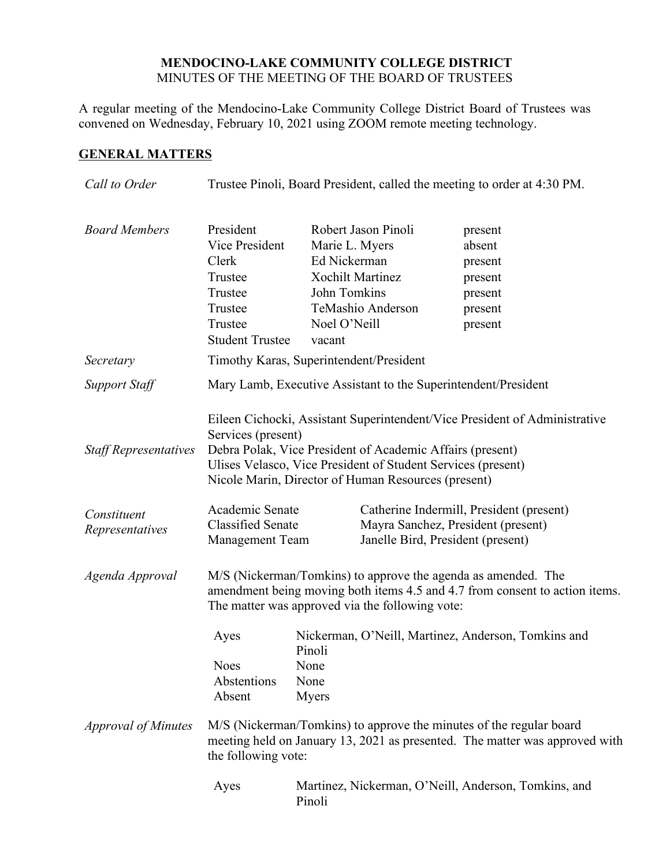## **MENDOCINO-LAKE COMMUNITY COLLEGE DISTRICT** MINUTES OF THE MEETING OF THE BOARD OF TRUSTEES

A regular meeting of the Mendocino-Lake Community College District Board of Trustees was convened on Wednesday, February 10, 2021 using ZOOM remote meeting technology.

# **GENERAL MATTERS**

| Call to Order                  | Trustee Pinoli, Board President, called the meeting to order at 4:30 PM.                                                                                                  |                                                                                                     |                                                                                                                     |                                                                                                                                              |
|--------------------------------|---------------------------------------------------------------------------------------------------------------------------------------------------------------------------|-----------------------------------------------------------------------------------------------------|---------------------------------------------------------------------------------------------------------------------|----------------------------------------------------------------------------------------------------------------------------------------------|
| <b>Board Members</b>           | President<br>Vice President<br>Clerk<br>Trustee<br>Trustee<br>Trustee<br>Trustee<br><b>Student Trustee</b>                                                                | Marie L. Myers<br>Ed Nickerman<br><b>Xochilt Martinez</b><br>John Tomkins<br>Noel O'Neill<br>vacant | Robert Jason Pinoli<br>TeMashio Anderson                                                                            | present<br>absent<br>present<br>present<br>present<br>present<br>present                                                                     |
| Secretary                      | Timothy Karas, Superintendent/President                                                                                                                                   |                                                                                                     |                                                                                                                     |                                                                                                                                              |
| <b>Support Staff</b>           | Mary Lamb, Executive Assistant to the Superintendent/President                                                                                                            |                                                                                                     |                                                                                                                     |                                                                                                                                              |
| <b>Staff Representatives</b>   | Services (present)<br>Debra Polak, Vice President of Academic Affairs (present)<br>Nicole Marin, Director of Human Resources (present)                                    |                                                                                                     |                                                                                                                     | Eileen Cichocki, Assistant Superintendent/Vice President of Administrative<br>Ulises Velasco, Vice President of Student Services (present)   |
| Constituent<br>Representatives | Academic Senate<br><b>Classified Senate</b><br><b>Management Team</b>                                                                                                     |                                                                                                     | Catherine Indermill, President (present)<br>Mayra Sanchez, President (present)<br>Janelle Bird, President (present) |                                                                                                                                              |
| Agenda Approval                | The matter was approved via the following vote:                                                                                                                           |                                                                                                     |                                                                                                                     | M/S (Nickerman/Tomkins) to approve the agenda as amended. The<br>amendment being moving both items 4.5 and 4.7 from consent to action items. |
|                                | Ayes<br><b>Noes</b><br>Abstentions<br>Absent                                                                                                                              | Pinoli<br>None<br>None<br>Myers                                                                     |                                                                                                                     | Nickerman, O'Neill, Martinez, Anderson, Tomkins and                                                                                          |
| <b>Approval of Minutes</b>     | M/S (Nickerman/Tomkins) to approve the minutes of the regular board<br>meeting held on January 13, 2021 as presented. The matter was approved with<br>the following vote: |                                                                                                     |                                                                                                                     |                                                                                                                                              |
|                                | Ayes                                                                                                                                                                      | Pinoli                                                                                              |                                                                                                                     | Martinez, Nickerman, O'Neill, Anderson, Tomkins, and                                                                                         |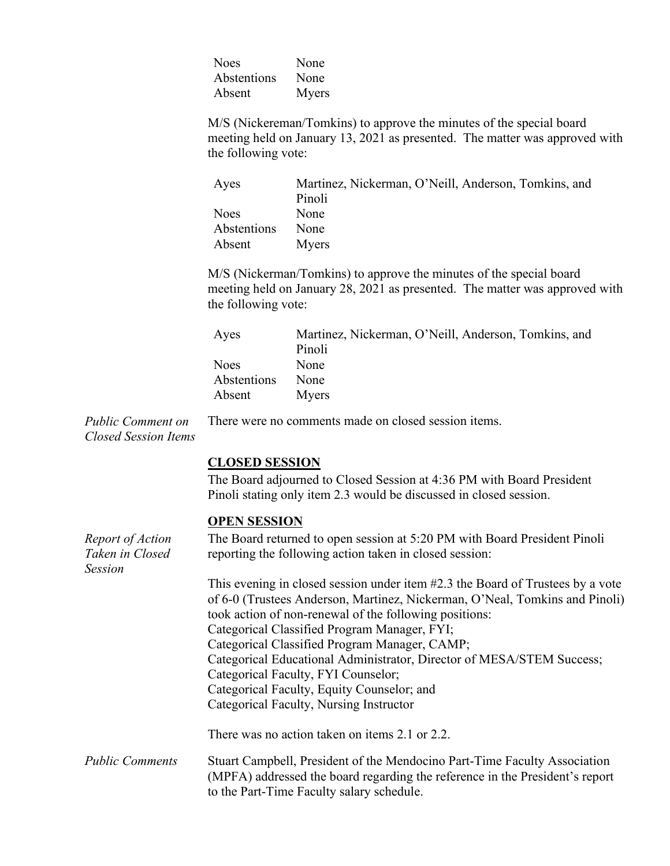| <b>Noes</b> | None  |
|-------------|-------|
| Abstentions | None  |
| Absent      | Myers |

M/S (Nickereman/Tomkins) to approve the minutes of the special board meeting held on January 13, 2021 as presented. The matter was approved with the following vote:

| Ayes        | Martinez, Nickerman, O'Neill, Anderson, Tomkins, and |
|-------------|------------------------------------------------------|
|             | Pinoli                                               |
| <b>Noes</b> | <b>None</b>                                          |
| Abstentions | None                                                 |
| Absent      | Myers                                                |

M/S (Nickerman/Tomkins) to approve the minutes of the special board meeting held on January 28, 2021 as presented. The matter was approved with the following vote:

| Ayes        | Martinez, Nickerman, O'Neill, Anderson, Tomkins, and |
|-------------|------------------------------------------------------|
|             | Pinoli                                               |
| Noes        | None                                                 |
| Abstentions | None                                                 |
| Absent      | Myers                                                |

*Public Comment on Closed Session Items* There were no comments made on closed session items.

# **CLOSED SESSION**

The Board adjourned to Closed Session at 4:36 PM with Board President Pinoli stating only item 2.3 would be discussed in closed session.

### **OPEN SESSION**

| Report of Action<br>Taken in Closed<br><b>Session</b> | The Board returned to open session at 5:20 PM with Board President Pinoli<br>reporting the following action taken in closed session:                                                                   |  |  |
|-------------------------------------------------------|--------------------------------------------------------------------------------------------------------------------------------------------------------------------------------------------------------|--|--|
|                                                       | This evening in closed session under item #2.3 the Board of Trustees by a vote<br>of 6-0 (Trustees Anderson, Martinez, Nickerman, O'Neal, Tomkins and Pinoli)                                          |  |  |
|                                                       | took action of non-renewal of the following positions:<br>Categorical Classified Program Manager, FYI;                                                                                                 |  |  |
|                                                       | Categorical Classified Program Manager, CAMP;                                                                                                                                                          |  |  |
|                                                       | Categorical Educational Administrator, Director of MESA/STEM Success;<br>Categorical Faculty, FYI Counselor;                                                                                           |  |  |
|                                                       | Categorical Faculty, Equity Counselor; and                                                                                                                                                             |  |  |
|                                                       | Categorical Faculty, Nursing Instructor                                                                                                                                                                |  |  |
|                                                       | There was no action taken on items 2.1 or 2.2.                                                                                                                                                         |  |  |
| <b>Public Comments</b>                                | Stuart Campbell, President of the Mendocino Part-Time Faculty Association<br>(MPFA) addressed the board regarding the reference in the President's report<br>to the Part-Time Faculty salary schedule. |  |  |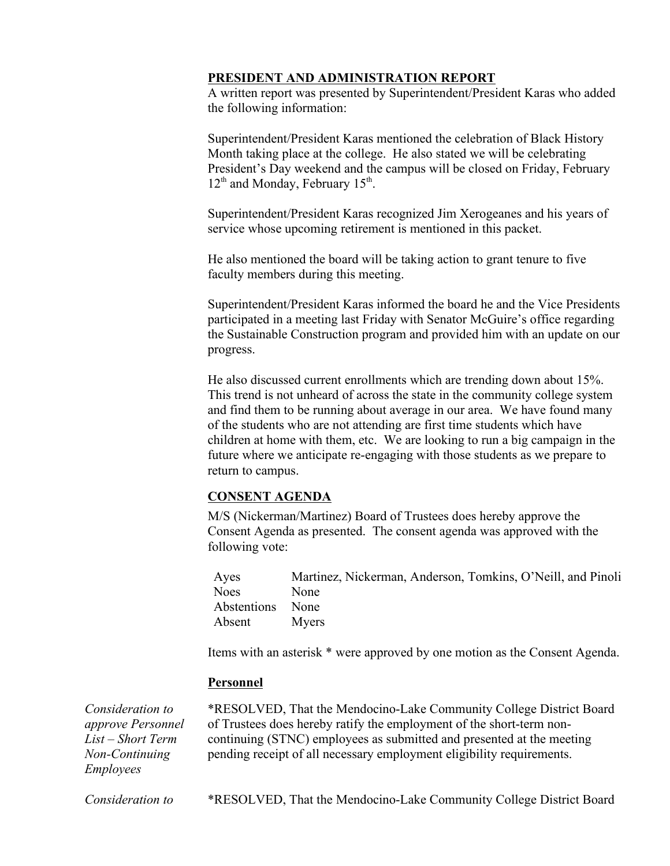## **PRESIDENT AND ADMINISTRATION REPORT**

A written report was presented by Superintendent/President Karas who added the following information:

Superintendent/President Karas mentioned the celebration of Black History Month taking place at the college. He also stated we will be celebrating President's Day weekend and the campus will be closed on Friday, February  $12<sup>th</sup>$  and Monday, February  $15<sup>th</sup>$ .

Superintendent/President Karas recognized Jim Xerogeanes and his years of service whose upcoming retirement is mentioned in this packet.

He also mentioned the board will be taking action to grant tenure to five faculty members during this meeting.

Superintendent/President Karas informed the board he and the Vice Presidents participated in a meeting last Friday with Senator McGuire's office regarding the Sustainable Construction program and provided him with an update on our progress.

He also discussed current enrollments which are trending down about 15%. This trend is not unheard of across the state in the community college system and find them to be running about average in our area. We have found many of the students who are not attending are first time students which have children at home with them, etc. We are looking to run a big campaign in the future where we anticipate re-engaging with those students as we prepare to return to campus.

# **CONSENT AGENDA**

M/S (Nickerman/Martinez) Board of Trustees does hereby approve the Consent Agenda as presented. The consent agenda was approved with the following vote:

Ayes Martinez, Nickerman, Anderson, Tomkins, O'Neill, and Pinoli Noes None Abstentions None Absent Myers

Items with an asterisk \* were approved by one motion as the Consent Agenda.

### **Personnel**

*Consideration to approve Personnel List – Short Term Non-Continuing Employees*

\*RESOLVED, That the Mendocino-Lake Community College District Board of Trustees does hereby ratify the employment of the short-term noncontinuing (STNC) employees as submitted and presented at the meeting pending receipt of all necessary employment eligibility requirements.

*Consideration to* \*RESOLVED, That the Mendocino-Lake Community College District Board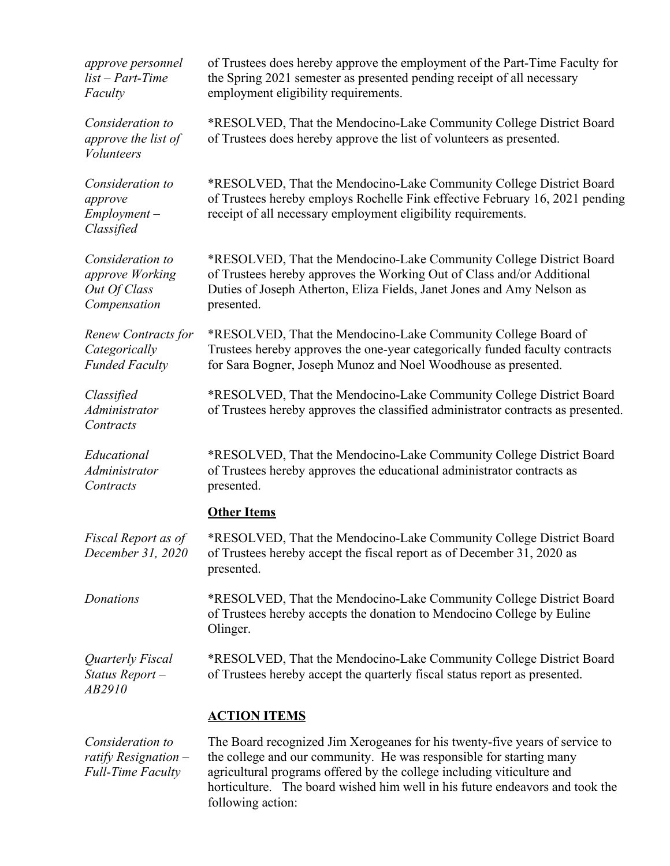| approve personnel<br>$list - Part-Time$<br>Faculty                     | of Trustees does hereby approve the employment of the Part-Time Faculty for<br>the Spring 2021 semester as presented pending receipt of all necessary<br>employment eligibility requirements.                                         |
|------------------------------------------------------------------------|---------------------------------------------------------------------------------------------------------------------------------------------------------------------------------------------------------------------------------------|
| Consideration to<br>approve the list of<br><b>Volunteers</b>           | *RESOLVED, That the Mendocino-Lake Community College District Board<br>of Trustees does hereby approve the list of volunteers as presented.                                                                                           |
| Consideration to<br>approve<br>$Employment -$<br>Classified            | *RESOLVED, That the Mendocino-Lake Community College District Board<br>of Trustees hereby employs Rochelle Fink effective February 16, 2021 pending<br>receipt of all necessary employment eligibility requirements.                  |
| Consideration to<br>approve Working<br>Out Of Class<br>Compensation    | *RESOLVED, That the Mendocino-Lake Community College District Board<br>of Trustees hereby approves the Working Out of Class and/or Additional<br>Duties of Joseph Atherton, Eliza Fields, Janet Jones and Amy Nelson as<br>presented. |
| Renew Contracts for<br>Categorically<br><b>Funded Faculty</b>          | *RESOLVED, That the Mendocino-Lake Community College Board of<br>Trustees hereby approves the one-year categorically funded faculty contracts<br>for Sara Bogner, Joseph Munoz and Noel Woodhouse as presented.                       |
| Classified<br>Administrator<br>Contracts                               | *RESOLVED, That the Mendocino-Lake Community College District Board<br>of Trustees hereby approves the classified administrator contracts as presented.                                                                               |
| Educational<br>Administrator<br>Contracts                              | *RESOLVED, That the Mendocino-Lake Community College District Board<br>of Trustees hereby approves the educational administrator contracts as<br>presented.                                                                           |
|                                                                        | <b>Other Items</b>                                                                                                                                                                                                                    |
| Fiscal Report as of<br>December 31, 2020                               | *RESOLVED, That the Mendocino-Lake Community College District Board<br>of Trustees hereby accept the fiscal report as of December 31, 2020 as<br>presented.                                                                           |
| Donations                                                              | *RESOLVED, That the Mendocino-Lake Community College District Board<br>of Trustees hereby accepts the donation to Mendocino College by Euline<br>Olinger.                                                                             |
| Quarterly Fiscal<br>Status Report-<br>AB2910                           | *RESOLVED, That the Mendocino-Lake Community College District Board<br>of Trustees hereby accept the quarterly fiscal status report as presented.                                                                                     |
|                                                                        | <b>ACTION ITEMS</b>                                                                                                                                                                                                                   |
| Consideration to<br>ratify Resignation $-$<br><b>Full-Time Faculty</b> | The Board recognized Jim Xerogeanes for his twenty-five years of service to<br>the college and our community. He was responsible for starting many<br>agricultural programs offered by the college including viticulture and          |

horticulture. The board wished him well in his future endeavors and took the

following action: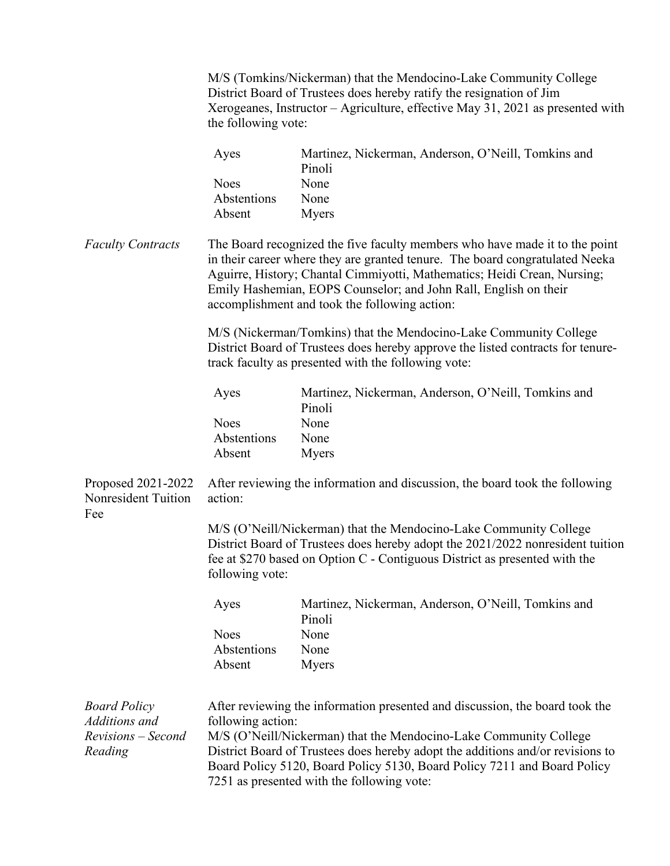|                                                            | the following vote:                                                                                                                                                                                                                                                                                                                                          | M/S (Tomkins/Nickerman) that the Mendocino-Lake Community College<br>District Board of Trustees does hereby ratify the resignation of Jim<br>Xerogeanes, Instructor – Agriculture, effective May 31, 2021 as presented with       |  |
|------------------------------------------------------------|--------------------------------------------------------------------------------------------------------------------------------------------------------------------------------------------------------------------------------------------------------------------------------------------------------------------------------------------------------------|-----------------------------------------------------------------------------------------------------------------------------------------------------------------------------------------------------------------------------------|--|
|                                                            | Ayes<br><b>Noes</b><br>Abstentions<br>Absent                                                                                                                                                                                                                                                                                                                 | Martinez, Nickerman, Anderson, O'Neill, Tomkins and<br>Pinoli<br>None<br>None<br><b>Myers</b>                                                                                                                                     |  |
| <b>Faculty Contracts</b>                                   | The Board recognized the five faculty members who have made it to the point<br>in their career where they are granted tenure. The board congratulated Neeka<br>Aguirre, History; Chantal Cimmiyotti, Mathematics; Heidi Crean, Nursing;<br>Emily Hashemian, EOPS Counselor; and John Rall, English on their<br>accomplishment and took the following action: |                                                                                                                                                                                                                                   |  |
|                                                            |                                                                                                                                                                                                                                                                                                                                                              | M/S (Nickerman/Tomkins) that the Mendocino-Lake Community College<br>District Board of Trustees does hereby approve the listed contracts for tenure-<br>track faculty as presented with the following vote:                       |  |
|                                                            | Ayes                                                                                                                                                                                                                                                                                                                                                         | Martinez, Nickerman, Anderson, O'Neill, Tomkins and                                                                                                                                                                               |  |
|                                                            | <b>Noes</b><br>Abstentions<br>Absent                                                                                                                                                                                                                                                                                                                         | Pinoli<br>None<br>None<br><b>Myers</b>                                                                                                                                                                                            |  |
| Proposed 2021-2022<br>Nonresident Tuition<br>Fee           | After reviewing the information and discussion, the board took the following<br>action:                                                                                                                                                                                                                                                                      |                                                                                                                                                                                                                                   |  |
|                                                            | following vote:                                                                                                                                                                                                                                                                                                                                              | M/S (O'Neill/Nickerman) that the Mendocino-Lake Community College<br>District Board of Trustees does hereby adopt the 2021/2022 nonresident tuition<br>fee at \$270 based on Option C - Contiguous District as presented with the |  |
|                                                            | Ayes                                                                                                                                                                                                                                                                                                                                                         | Martinez, Nickerman, Anderson, O'Neill, Tomkins and<br>Pinoli                                                                                                                                                                     |  |
|                                                            | <b>Noes</b><br>Abstentions<br>Absent                                                                                                                                                                                                                                                                                                                         | None<br>None<br><b>Myers</b>                                                                                                                                                                                                      |  |
| <b>Board Policy</b><br>Additions and<br>Revisions – Second | After reviewing the information presented and discussion, the board took the<br>following action:<br>M/S (O'Neill/Nickerman) that the Mendocino-Lake Community College                                                                                                                                                                                       |                                                                                                                                                                                                                                   |  |
| Reading                                                    | District Board of Trustees does hereby adopt the additions and/or revisions to<br>Board Policy 5120, Board Policy 5130, Board Policy 7211 and Board Policy<br>7251 as presented with the following vote:                                                                                                                                                     |                                                                                                                                                                                                                                   |  |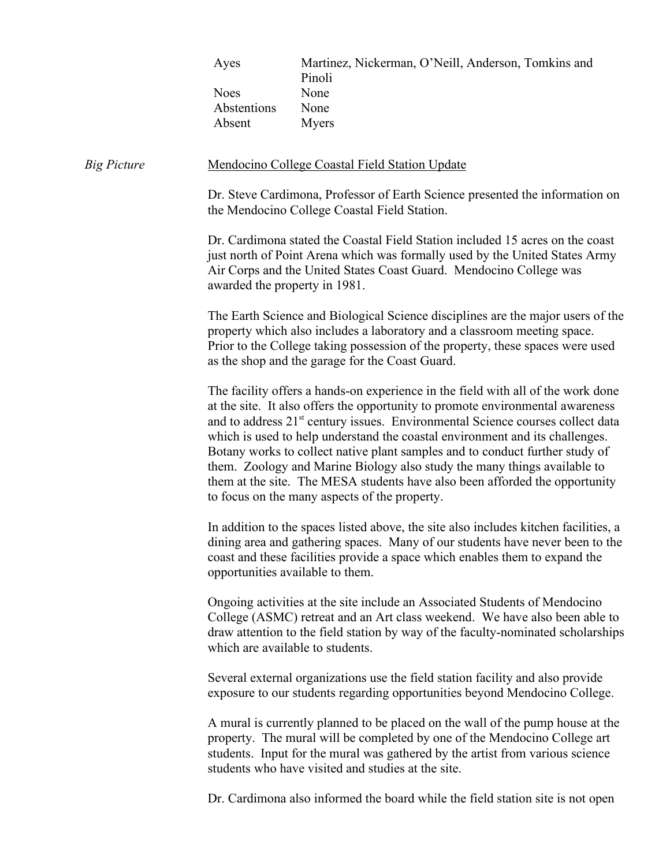| Ayes        | Martinez, Nickerman, O'Neill, Anderson, Tomkins and |
|-------------|-----------------------------------------------------|
|             | Pinoli                                              |
| <b>Noes</b> | None                                                |
| Abstentions | None                                                |
| Absent      | Myers                                               |
|             |                                                     |

#### *Big Picture* **Mendocino College Coastal Field Station Update**

Dr. Steve Cardimona, Professor of Earth Science presented the information on the Mendocino College Coastal Field Station.

Dr. Cardimona stated the Coastal Field Station included 15 acres on the coast just north of Point Arena which was formally used by the United States Army Air Corps and the United States Coast Guard. Mendocino College was awarded the property in 1981.

The Earth Science and Biological Science disciplines are the major users of the property which also includes a laboratory and a classroom meeting space. Prior to the College taking possession of the property, these spaces were used as the shop and the garage for the Coast Guard.

The facility offers a hands-on experience in the field with all of the work done at the site. It also offers the opportunity to promote environmental awareness and to address 21<sup>st</sup> century issues. Environmental Science courses collect data which is used to help understand the coastal environment and its challenges. Botany works to collect native plant samples and to conduct further study of them. Zoology and Marine Biology also study the many things available to them at the site. The MESA students have also been afforded the opportunity to focus on the many aspects of the property.

In addition to the spaces listed above, the site also includes kitchen facilities, a dining area and gathering spaces. Many of our students have never been to the coast and these facilities provide a space which enables them to expand the opportunities available to them.

Ongoing activities at the site include an Associated Students of Mendocino College (ASMC) retreat and an Art class weekend. We have also been able to draw attention to the field station by way of the faculty-nominated scholarships which are available to students.

Several external organizations use the field station facility and also provide exposure to our students regarding opportunities beyond Mendocino College.

A mural is currently planned to be placed on the wall of the pump house at the property. The mural will be completed by one of the Mendocino College art students. Input for the mural was gathered by the artist from various science students who have visited and studies at the site.

Dr. Cardimona also informed the board while the field station site is not open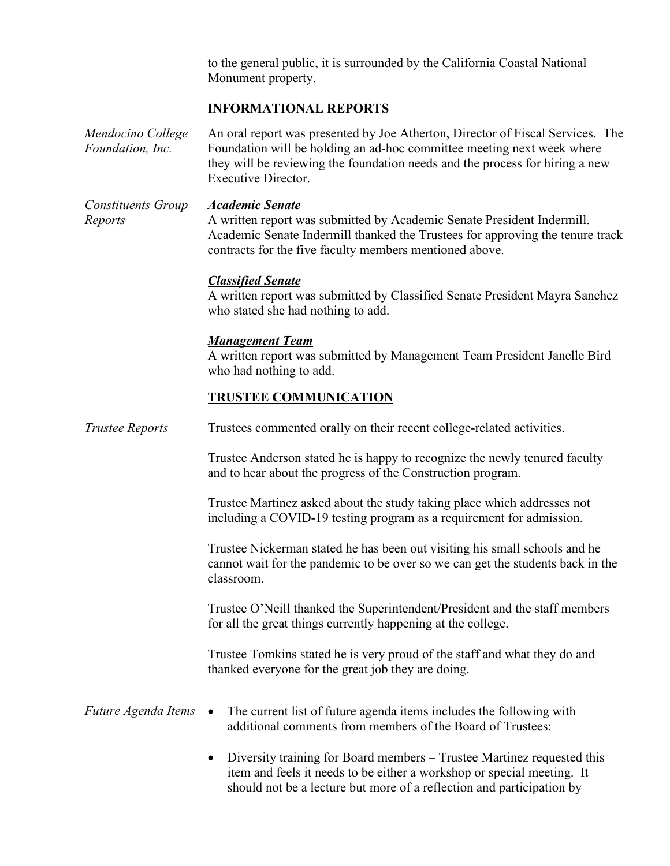to the general public, it is surrounded by the California Coastal National Monument property.

# **INFORMATIONAL REPORTS**

*Mendocino College Foundation, Inc.* An oral report was presented by Joe Atherton, Director of Fiscal Services. The Foundation will be holding an ad-hoc committee meeting next week where they will be reviewing the foundation needs and the process for hiring a new Executive Director.

*Constituents Group Reports Academic Senate* A written report was submitted by Academic Senate President Indermill. Academic Senate Indermill thanked the Trustees for approving the tenure track

contracts for the five faculty members mentioned above.

### *Classified Senate*

A written report was submitted by Classified Senate President Mayra Sanchez who stated she had nothing to add.

### *Management Team*

A written report was submitted by Management Team President Janelle Bird who had nothing to add.

#### **TRUSTEE COMMUNICATION**

*Trustee Reports* Trustees commented orally on their recent college-related activities.

Trustee Anderson stated he is happy to recognize the newly tenured faculty and to hear about the progress of the Construction program.

Trustee Martinez asked about the study taking place which addresses not including a COVID-19 testing program as a requirement for admission.

Trustee Nickerman stated he has been out visiting his small schools and he cannot wait for the pandemic to be over so we can get the students back in the classroom.

Trustee O'Neill thanked the Superintendent/President and the staff members for all the great things currently happening at the college.

Trustee Tomkins stated he is very proud of the staff and what they do and thanked everyone for the great job they are doing.

### *Future Agenda Items* • The current list of future agenda items includes the following with additional comments from members of the Board of Trustees:

• Diversity training for Board members – Trustee Martinez requested this item and feels it needs to be either a workshop or special meeting. It should not be a lecture but more of a reflection and participation by